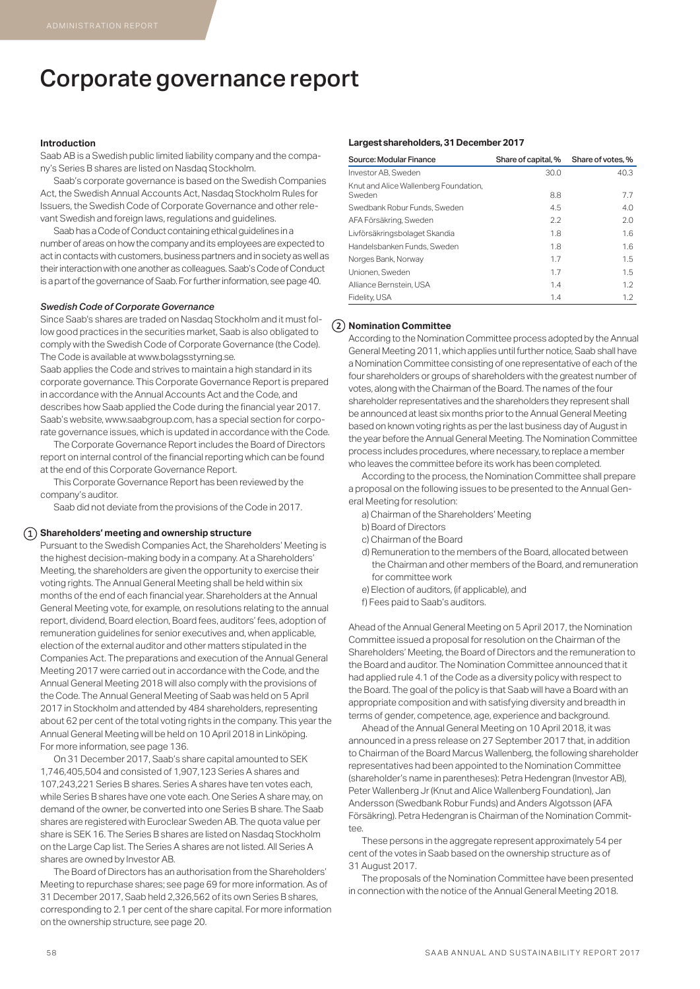# Corporate governance report

### **Introduction**

Saab AB is a Swedish public limited liability company and the company's Series B shares are listed on Nasdaq Stockholm.

Saab's corporate governance is based on the Swedish Companies Act, the Swedish Annual Accounts Act, Nasdaq Stockholm Rules for Issuers, the Swedish Code of Corporate Governance and other relevant Swedish and foreign laws, regulations and guidelines.

Saab has a Code of Conduct containing ethical guidelines in a number of areas on how the company and its employees are expected to act in contacts with customers, business partners and in society as well as their interaction with one another as colleagues. Saab's Code of Conduct is a part of the governance of Saab. For further information, see page 40.

### *Swedish Code of Corporate Governance*

Since Saab's shares are traded on Nasdaq Stockholm and it must follow good practices in the securities market, Saab is also obligated to comply with the Swedish Code of Corporate Governance (the Code). The Code is available at www.bolagsstyrning.se.

Saab applies the Code and strives to maintain a high standard in its corporate governance. This Corporate Governance Report is prepared in accordance with the Annual Accounts Act and the Code, and describes how Saab applied the Code during the financial year 2017. Saab's website, www.saabgroup.com, has a special section for corporate governance issues, which is updated in accordance with the Code.

The Corporate Governance Report includes the Board of Directors report on internal control of the financial reporting which can be found at the end of this Corporate Governance Report.

This Corporate Governance Report has been reviewed by the company's auditor.

Saab did not deviate from the provisions of the Code in 2017.

### **Shareholders' meeting and ownership structure**

Pursuant to the Swedish Companies Act, the Shareholders' Meeting is the highest decision-making body in a company. At a Shareholders' Meeting, the shareholders are given the opportunity to exercise their voting rights. The Annual General Meeting shall be held within six months of the end of each financial year. Shareholders at the Annual General Meeting vote, for example, on resolutions relating to the annual report, dividend, Board election, Board fees, auditors' fees, adoption of remuneration guidelines for senior executives and, when applicable, election of the external auditor and other matters stipulated in the Companies Act. The preparations and execution of the Annual General Meeting 2017 were carried out in accordance with the Code, and the Annual General Meeting 2018 will also comply with the provisions of the Code. The Annual General Meeting of Saab was held on 5 April 2017 in Stockholm and attended by 484 shareholders, representing about 62 per cent of the total voting rights in the company. This year the Annual General Meeting will be held on 10 April 2018 in Linköping. For more information, see page 136.

On 31 December 2017, Saab's share capital amounted to SEK 1,746,405,504 and consisted of 1,907,123 Series A shares and 107,243,221 Series B shares. Series A shares have ten votes each, while Series B shares have one vote each. One Series A share may, on demand of the owner, be converted into one Series B share. The Saab shares are registered with Euroclear Sweden AB. The quota value per share is SEK 16. The Series B shares are listed on Nasdaq Stockholm on the Large Cap list. The Series A shares are not listed. All Series A shares are owned by Investor AB.

The Board of Directors has an authorisation from the Shareholders' Meeting to repurchase shares; see page 69 for more information. As of 31 December 2017, Saab held 2,326,562 of its own Series B shares, corresponding to 2.1 per cent of the share capital. For more information on the ownership structure, see page 20.

### **Largest shareholders, 31 December 2017**

| Source: Modular Finance                         | Share of capital, % | Share of votes, % |
|-------------------------------------------------|---------------------|-------------------|
| Investor AB. Sweden                             | 30.0                | 40.3              |
| Knut and Alice Wallenberg Foundation,<br>Sweden | 8.8                 | 7.7               |
| Swedbank Robur Funds, Sweden                    | 4.5                 | 4.0               |
| AFA Försäkring, Sweden                          | 2.2                 | 2.0               |
| Livförsäkringsbolaget Skandia                   | 1.8                 | 1.6               |
| Handelsbanken Funds, Sweden                     | 1.8                 | 1.6               |
| Norges Bank, Norway                             | 1.7                 | 1.5               |
| Unionen, Sweden                                 | 1.7                 | 1.5               |
| Alliance Bernstein, USA                         | 1.4                 | 1.2               |
| Fidelity, USA                                   | 1.4                 | 1.2               |

## **Nomination Committee**

According to the Nomination Committee process adopted by the Annual General Meeting 2011, which applies until further notice, Saab shall have a Nomination Committee consisting of one representative of each of the four shareholders or groups of shareholders with the greatest number of votes, along with the Chairman of the Board. The names of the four shareholder representatives and the shareholders they represent shall be announced at least six months prior to the Annual General Meeting based on known voting rights as per the last business day of August in the year before the Annual General Meeting. The Nomination Committee process includes procedures, where necessary, to replace a member who leaves the committee before its work has been completed.

According to the process, the Nomination Committee shall prepare a proposal on the following issues to be presented to the Annual General Meeting for resolution:

- a) Chairman of the Shareholders' Meeting
- b) Board of Directors
- c) Chairman of the Board
- d) Remuneration to the members of the Board, allocated between the Chairman and other members of the Board, and remuneration for committee work
- e) Election of auditors, (if applicable), and f) Fees paid to Saab's auditors.
- 

Ahead of the Annual General Meeting on 5 April 2017, the Nomination Committee issued a proposal for resolution on the Chairman of the Shareholders' Meeting, the Board of Directors and the remuneration to the Board and auditor. The Nomination Committee announced that it had applied rule 4.1 of the Code as a diversity policy with respect to the Board. The goal of the policy is that Saab will have a Board with an appropriate composition and with satisfying diversity and breadth in terms of gender, competence, age, experience and background.

Ahead of the Annual General Meeting on 10 April 2018, it was announced in a press release on 27 September 2017 that, in addition to Chairman of the Board Marcus Wallenberg, the following shareholder representatives had been appointed to the Nomination Committee (shareholder's name in parentheses): Petra Hedengran (Investor AB), Peter Wallenberg Jr (Knut and Alice Wallenberg Foundation), Jan Andersson (Swedbank Robur Funds) and Anders Algotsson (AFA Försäkring). Petra Hedengran is Chairman of the Nomination Commit $t \in \mathbb{R}$ 

These persons in the aggregate represent approximately 54 per cent of the votes in Saab based on the ownership structure as of 31 August 2017.

The proposals of the Nomination Committee have been presented in connection with the notice of the Annual General Meeting 2018.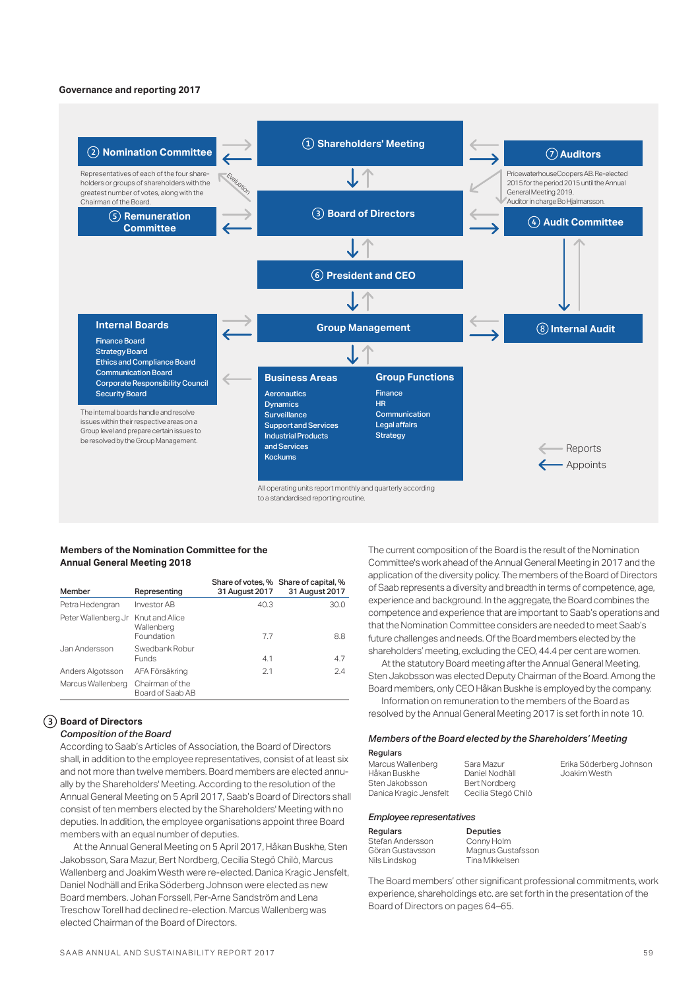### **Governance and reporting 2017**



### **Members of the Nomination Committee for the Annual General Meeting 2018**

| Member              | Representing                               | 31 August 2017 | Share of votes, % Share of capital, %<br>31 August 2017 |
|---------------------|--------------------------------------------|----------------|---------------------------------------------------------|
| Petra Hedengran     | Investor AB                                | 40.3           | 30.0                                                    |
| Peter Wallenberg Jr | Knut and Alice<br>Wallenberg<br>Foundation | 7.7            | 8.8                                                     |
| Jan Andersson       | Swedbank Robur<br><b>Funds</b>             | 4.1            | 4.7                                                     |
| Anders Algotsson    | AFA Försäkring                             | 2.1            | 2.4                                                     |
| Marcus Wallenberg   | Chairman of the<br>Board of Saab AB        |                |                                                         |

## **Board of Directors**

### *Composition of the Board*

According to Saab's Articles of Association, the Board of Directors shall, in addition to the employee representatives, consist of at least six and not more than twelve members. Board members are elected annually by the Shareholders' Meeting. According to the resolution of the Annual General Meeting on 5 April 2017, Saab's Board of Directors shall consist of ten members elected by the Shareholders' Meeting with no deputies. In addition, the employee organisations appoint three Board members with an equal number of deputies.

At the Annual General Meeting on 5 April 2017, Håkan Buskhe, Sten Jakobsson, Sara Mazur, Bert Nordberg, Cecilia Stegö Chilò, Marcus Wallenberg and Joakim Westh were re-elected. Danica Kragic Jensfelt, Daniel Nodhäll and Erika Söderberg Johnson were elected as new Board members. Johan Forssell, Per-Arne Sandström and Lena Treschow Torell had declined re-election. Marcus Wallenberg was elected Chairman of the Board of Directors.

The current composition of the Board is the result of the Nomination Committee's work ahead of the Annual General Meeting in 2017 and the application of the diversity policy. The members of the Board of Directors of Saab represents a diversity and breadth in terms of competence, age, experience and background. In the aggregate, the Board combines the competence and experience that are important to Saab's operations and that the Nomination Committee considers are needed to meet Saab's future challenges and needs. Of the Board members elected by the shareholders' meeting, excluding the CEO, 44.4 per cent are women.

At the statutory Board meeting after the Annual General Meeting, Sten Jakobsson was elected Deputy Chairman of the Board. Among the Board members, only CEO Håkan Buskhe is employed by the company. Information on remuneration to the members of the Board as

resolved by the Annual General Meeting 2017 is set forth in note 10.

## *Members of the Board elected by the Shareholders' Meeting*

Regulars Marcus Wallenberg Håkan Buskhe Sten Jakobsson Danica Kragic Jensfelt

Sara Mazur

Daniel Nodhäll Bert Nordberg Cecilia Stegö Chilò

*Employee representatives*

| Regulars         |
|------------------|
| Stefan Andersson |
| Göran Gustavsson |
| Nils Lindskog    |

Deputies Conny Holm Magnus Gustafsson Tina Mikkelsen

The Board members' other significant professional commitments, work experience, shareholdings etc. are set forth in the presentation of the Board of Directors on pages 64–65.

Erika Söderberg Johnson Joakim Westh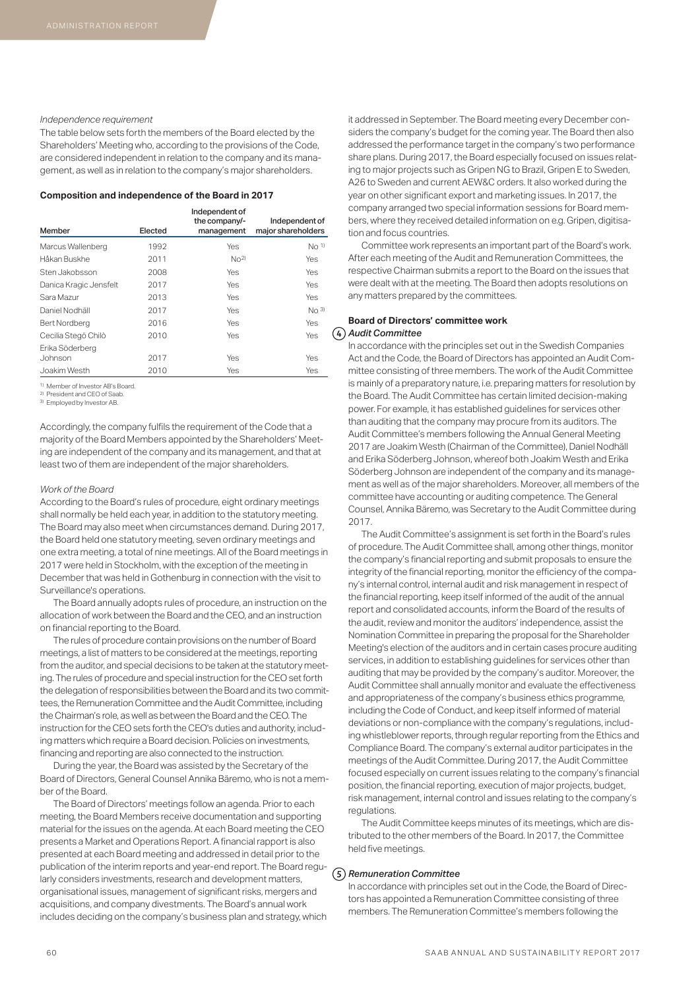### *Independence requirement*

The table below sets forth the members of the Board elected by the Shareholders' Meeting who, according to the provisions of the Code, are considered independent in relation to the company and its management, as well as in relation to the company's major shareholders.

### **Composition and independence of the Board in 2017**

| Member                     | Elected | Independent of<br>the company/-<br>management | Independent of<br>major shareholders |
|----------------------------|---------|-----------------------------------------------|--------------------------------------|
| Marcus Wallenberg          | 1992    | Yes                                           | $NO$ <sup>1)</sup>                   |
| Håkan Buskhe               | 2011    | $N0$ <sup>2)</sup>                            | Yes                                  |
| Sten Jakobsson             | 2008    | Yes                                           | Yes                                  |
| Danica Kragic Jensfelt     | 2017    | Yes                                           | Yes                                  |
| Sara Mazur                 | 2013    | Yes                                           | Yes                                  |
| Daniel Nodhäll             | 2017    | Yes                                           | No <sub>3</sub>                      |
| Bert Nordberg              | 2016    | Yes                                           | Yes                                  |
| Cecilia Stegö Chilò        | 2010    | Yes                                           | Yes                                  |
| Erika Söderberg<br>Johnson | 2017    | Yes                                           | Yes                                  |
| Joakim Westh               | 2010    | Yes                                           | Yes                                  |

1) Member of Investor AB's Board.

2) President and CEO of Saab.

3) Employed by Investor AB.

Accordingly, the company fulfils the requirement of the Code that a majority of the Board Members appointed by the Shareholders' Meeting are independent of the company and its management, and that at least two of them are independent of the major shareholders.

### *Work of the Board*

According to the Board's rules of procedure, eight ordinary meetings shall normally be held each year, in addition to the statutory meeting. The Board may also meet when circumstances demand. During 2017, the Board held one statutory meeting, seven ordinary meetings and one extra meeting, a total of nine meetings. All of the Board meetings in 2017 were held in Stockholm, with the exception of the meeting in December that was held in Gothenburg in connection with the visit to Surveillance's operations.

The Board annually adopts rules of procedure, an instruction on the allocation of work between the Board and the CEO, and an instruction on financial reporting to the Board.

The rules of procedure contain provisions on the number of Board meetings, a list of matters to be considered at the meetings, reporting from the auditor, and special decisions to be taken at the statutory meeting. The rules of procedure and special instruction for the CEO set forth the delegation of responsibilities between the Board and its two committees, the Remuneration Committee and the Audit Committee, including the Chairman's role, as well as between the Board and the CEO. The instruction for the CEO sets forth the CEO's duties and authority, including matters which require a Board decision. Policies on investments, financing and reporting are also connected to the instruction.

During the year, the Board was assisted by the Secretary of the Board of Directors, General Counsel Annika Bäremo, who is not a member of the Board.

The Board of Directors' meetings follow an agenda. Prior to each meeting, the Board Members receive documentation and supporting material for the issues on the agenda. At each Board meeting the CEO presents a Market and Operations Report. A financial rapport is also presented at each Board meeting and addressed in detail prior to the publication of the interim reports and year-end report. The Board regularly considers investments, research and development matters, organisational issues, management of significant risks, mergers and acquisitions, and company divestments. The Board's annual work includes deciding on the company's business plan and strategy, which it addressed in September. The Board meeting every December considers the company's budget for the coming year. The Board then also addressed the performance target in the company's two performance share plans. During 2017, the Board especially focused on issues relating to major projects such as Gripen NG to Brazil, Gripen E to Sweden, A26 to Sweden and current AEW&C orders. It also worked during the year on other significant export and marketing issues. In 2017, the company arranged two special information sessions for Board members, where they received detailed information on e.g. Gripen, digitisation and focus countries.

Committee work represents an important part of the Board's work. After each meeting of the Audit and Remuneration Committees, the respective Chairman submits a report to the Board on the issues that were dealt with at the meeting. The Board then adopts resolutions on any matters prepared by the committees.

## **Board of Directors' committee work** *Audit Committee*

In accordance with the principles set out in the Swedish Companies Act and the Code, the Board of Directors has appointed an Audit Committee consisting of three members. The work of the Audit Committee is mainly of a preparatory nature, i.e. preparing matters for resolution by the Board. The Audit Committee has certain limited decision-making power. For example, it has established guidelines for services other than auditing that the company may procure from its auditors. The Audit Committee's members following the Annual General Meeting 2017 are Joakim Westh (Chairman of the Committee), Daniel Nodhäll and Erika Söderberg Johnson, whereof both Joakim Westh and Erika Söderberg Johnson are independent of the company and its management as well as of the major shareholders. Moreover, all members of the committee have accounting or auditing competence. The General Counsel, Annika Bäremo, was Secretary to the Audit Committee during 2017.

The Audit Committee's assignment is set forth in the Board's rules of procedure. The Audit Committee shall, among other things, monitor the company's financial reporting and submit proposals to ensure the integrity of the financial reporting, monitor the efficiency of the company's internal control, internal audit and risk management in respect of the financial reporting, keep itself informed of the audit of the annual report and consolidated accounts, inform the Board of the results of the audit, review and monitor the auditors' independence, assist the Nomination Committee in preparing the proposal for the Shareholder Meeting's election of the auditors and in certain cases procure auditing services, in addition to establishing guidelines for services other than auditing that may be provided by the company's auditor. Moreover, the Audit Committee shall annually monitor and evaluate the effectiveness and appropriateness of the company's business ethics programme, including the Code of Conduct, and keep itself informed of material deviations or non-compliance with the company's regulations, including whistleblower reports, through regular reporting from the Ethics and Compliance Board. The company's external auditor participates in the meetings of the Audit Committee. During 2017, the Audit Committee focused especially on current issues relating to the company's financial position, the financial reporting, execution of major projects, budget, risk management, internal control and issues relating to the company's regulations.

The Audit Committee keeps minutes of its meetings, which are distributed to the other members of the Board. In 2017, the Committee held five meetings.

### *Remuneration Committee*

In accordance with principles set out in the Code, the Board of Directors has appointed a Remuneration Committee consisting of three members. The Remuneration Committee's members following the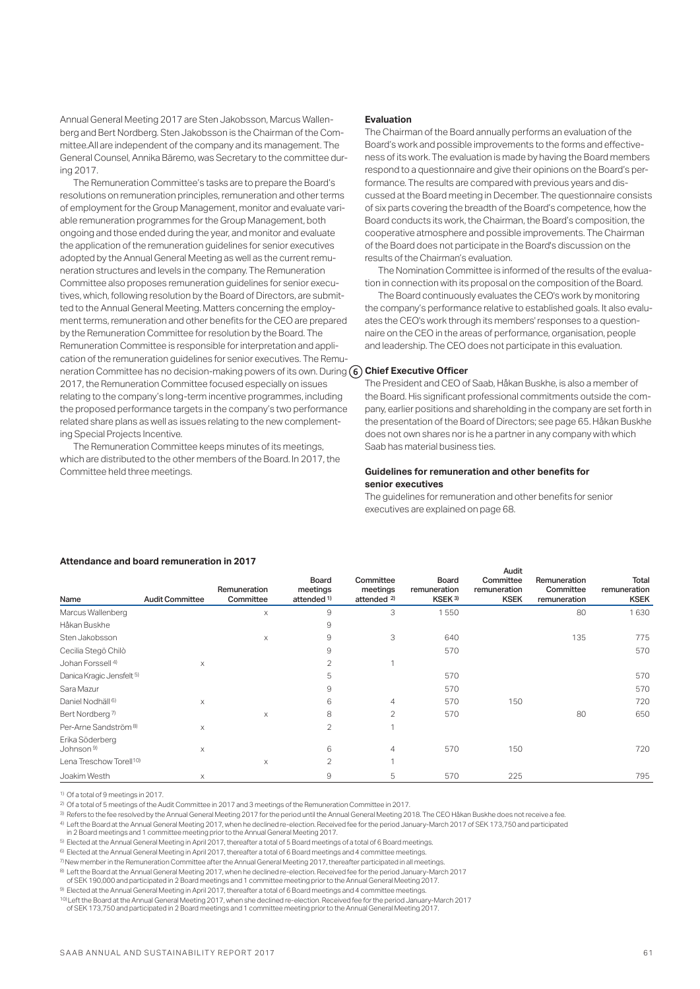Annual General Meeting 2017 are Sten Jakobsson, Marcus Wallenberg and Bert Nordberg. Sten Jakobsson is the Chairman of the Committee.All are independent of the company and its management. The General Counsel, Annika Bäremo, was Secretary to the committee during 2017.

The Remuneration Committee's tasks are to prepare the Board's resolutions on remuneration principles, remuneration and other terms of employment for the Group Management, monitor and evaluate variable remuneration programmes for the Group Management, both ongoing and those ended during the year, and monitor and evaluate the application of the remuneration guidelines for senior executives adopted by the Annual General Meeting as well as the current remuneration structures and levels in the company. The Remuneration Committee also proposes remuneration guidelines for senior executives, which, following resolution by the Board of Directors, are submitted to the Annual General Meeting. Matters concerning the employment terms, remuneration and other benefits for the CEO are prepared by the Remuneration Committee for resolution by the Board. The Remuneration Committee is responsible for interpretation and application of the remuneration guidelines for senior executives. The Remuneration Committee has no decision-making powers of its own. During **Chief Executive Officer**  2017, the Remuneration Committee focused especially on issues relating to the company's long-term incentive programmes, including the proposed performance targets in the company's two performance related share plans as well as issues relating to the new complementing Special Projects Incentive.

The Remuneration Committee keeps minutes of its meetings, which are distributed to the other members of the Board. In 2017, the Committee held three meetings.

### **Evaluation**

The Chairman of the Board annually performs an evaluation of the Board's work and possible improvements to the forms and effectiveness of its work. The evaluation is made by having the Board members respond to a questionnaire and give their opinions on the Board's performance. The results are compared with previous years and discussed at the Board meeting in December. The questionnaire consists of six parts covering the breadth of the Board's competence, how the Board conducts its work, the Chairman, the Board's composition, the cooperative atmosphere and possible improvements. The Chairman of the Board does not participate in the Board's discussion on the results of the Chairman's evaluation.

The Nomination Committee is informed of the results of the evaluation in connection with its proposal on the composition of the Board.

The Board continuously evaluates the CEO's work by monitoring the company's performance relative to established goals. It also evaluates the CEO's work through its members' responses to a questionnaire on the CEO in the areas of performance, organisation, people and leadership. The CEO does not participate in this evaluation.

The President and CEO of Saab, Håkan Buskhe, is also a member of the Board. His significant professional commitments outside the company, earlier positions and shareholding in the company are set forth in the presentation of the Board of Directors; see page 65. Håkan Buskhe does not own shares nor is he a partner in any company with which Saab has material business ties.

### **Guidelines for remuneration and other benefits for senior executives**

The guidelines for remuneration and other benefits for senior executives are explained on page 68.

### **Attendance and board remuneration in 2017**

|                                          |                        |                           |                                             |                                                 |                                                    | Audit                                    |                                           |                                      |
|------------------------------------------|------------------------|---------------------------|---------------------------------------------|-------------------------------------------------|----------------------------------------------------|------------------------------------------|-------------------------------------------|--------------------------------------|
| Name                                     | <b>Audit Committee</b> | Remuneration<br>Committee | Board<br>meetings<br>attended <sup>1)</sup> | Committee<br>meetings<br>attended <sup>2)</sup> | <b>Board</b><br>remuneration<br>KSEK <sup>3)</sup> | Committee<br>remuneration<br><b>KSEK</b> | Remuneration<br>Committee<br>remuneration | Total<br>remuneration<br><b>KSEK</b> |
| Marcus Wallenberg                        |                        | X                         | 9                                           | 3                                               | 1550                                               |                                          | 80                                        | 1630                                 |
| Håkan Buskhe                             |                        |                           | 9                                           |                                                 |                                                    |                                          |                                           |                                      |
| Sten Jakobsson                           |                        | X                         | 9                                           | 3                                               | 640                                                |                                          | 135                                       | 775                                  |
| Cecilia Stegö Chilò                      |                        |                           | 9                                           |                                                 | 570                                                |                                          |                                           | 570                                  |
| Johan Forssell <sup>4)</sup>             | $\times$               |                           | 2                                           | 1                                               |                                                    |                                          |                                           |                                      |
| Danica Kragic Jensfelt 5)                |                        |                           | 5                                           |                                                 | 570                                                |                                          |                                           | 570                                  |
| Sara Mazur                               |                        |                           | 9                                           |                                                 | 570                                                |                                          |                                           | 570                                  |
| Daniel Nodhäll <sup>6)</sup>             | X                      |                           | 6                                           | $\overline{4}$                                  | 570                                                | 150                                      |                                           | 720                                  |
| Bert Nordberg <sup>7)</sup>              |                        | X                         | 8                                           | $\overline{2}$                                  | 570                                                |                                          | 80                                        | 650                                  |
| Per-Arne Sandström <sup>8)</sup>         | X                      |                           | 2                                           | 1                                               |                                                    |                                          |                                           |                                      |
| Erika Söderberg<br>Johnson <sup>9)</sup> | X                      |                           | 6                                           | 4                                               | 570                                                | 150                                      |                                           | 720                                  |
| Lena Treschow Torell <sup>10)</sup>      |                        | X                         | 2                                           | 1                                               |                                                    |                                          |                                           |                                      |
| Joakim Westh                             | X                      |                           | 9                                           | 5                                               | 570                                                | 225                                      |                                           | 795                                  |

1) Of a total of 9 meetings in 2017.

2) Of a total of 5 meetings of the Audit Committee in 2017 and 3 meetings of the Remuneration Committee in 2017.

3) Refers to the fee resolved by the Annual General Meeting 2017 for the period until the Annual General Meeting 2018. The CEO Håkan Buskhe does not receive a fee.

4) Left the Board at the Annual General Meeting 2017, when he declined re-election. Received fee for the period January-March 2017 of SEK 173,750 and participated

in 2 Board meetings and 1 committee meeting prior to the Annual General Meeting 2017.

5) Elected at the Annual General Meeting in April 2017, thereafter a total of 5 Board meetings of a total of 6 Board meetings.

6) Elected at the Annual General Meeting in April 2017, thereafter a total of 6 Board meetings and 4 committee meetings.

7) New member in the Remuneration Committee after the Annual General Meeting 2017, thereafter participated in all meetings.

8) Left the Board at the Annual General Meeting 2017, when he declined re-election. Received fee for the period January-March 2017 of SEK 190,000 and participated in 2 Board meetings and 1 committee meeting prior to the Annual General Meeting 2017.

9) Elected at the Annual General Meeting in April 2017, thereafter a total of 6 Board meetings and 4 committee meetings.

10) Left the Board at the Annual General Meeting 2017, when she declined re-election. Received fee for the period January-March 2017

of SEK 173,750 and participated in 2 Board meetings and 1 committee meeting prior to the Annual General Meeting 2017.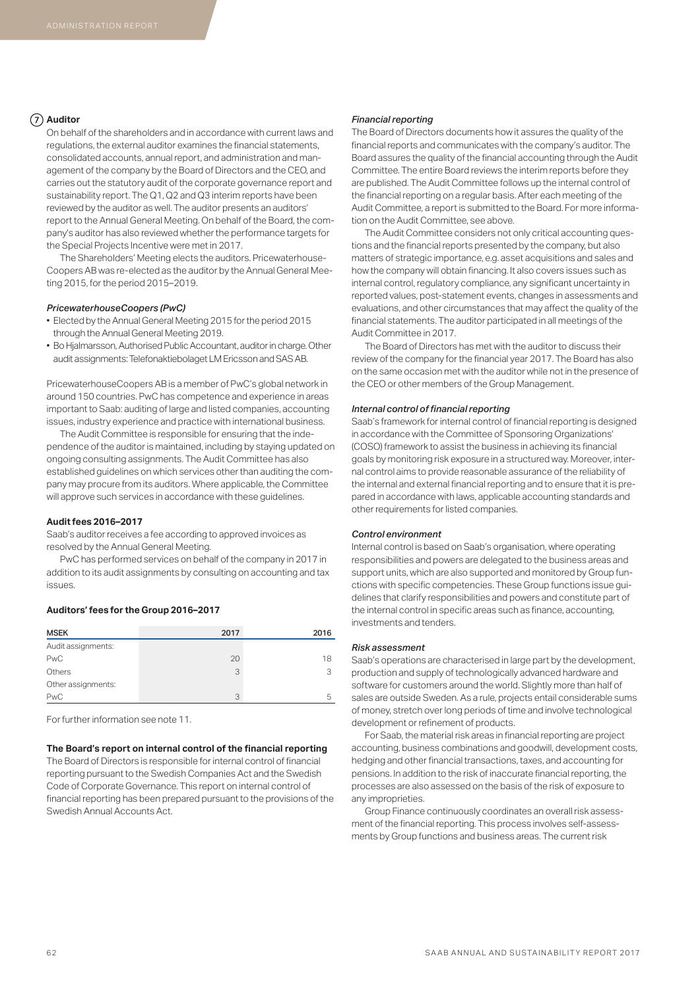### **Auditor**

On behalf of the shareholders and in accordance with current laws and regulations, the external auditor examines the financial statements, consolidated accounts, annual report, and administration and management of the company by the Board of Directors and the CEO, and carries out the statutory audit of the corporate governance report and sustainability report. The Q1, Q2 and Q3 interim reports have been reviewed by the auditor as well. The auditor presents an auditors' report to the Annual General Meeting. On behalf of the Board, the company's auditor has also reviewed whether the performance targets for the Special Projects Incentive were met in 2017.

The Shareholders' Meeting elects the auditors. Pricewaterhouse-Coopers AB was re-elected as the auditor by the Annual General Meeting 2015, for the period 2015–2019.

### *PricewaterhouseCoopers (PwC)*

- Elected by the Annual General Meeting 2015 for the period 2015 through the Annual General Meeting 2019.
- Bo Hjalmarsson, Authorised Public Accountant, auditor in charge. Other audit assignments: Telefonaktiebolaget LM Ericsson and SAS AB.

PricewaterhouseCoopers AB is a member of PwC's global network in around 150 countries. PwC has competence and experience in areas important to Saab: auditing of large and listed companies, accounting issues, industry experience and practice with international business.

The Audit Committee is responsible for ensuring that the independence of the auditor is maintained, including by staying updated on ongoing consulting assignments. The Audit Committee has also established guidelines on which services other than auditing the company may procure from its auditors. Where applicable, the Committee will approve such services in accordance with these guidelines.

### **Audit fees 2016–2017**

Saab's auditor receives a fee according to approved invoices as resolved by the Annual General Meeting.

PwC has performed services on behalf of the company in 2017 in addition to its audit assignments by consulting on accounting and tax issues.

### **Auditors' fees for the Group 2016–2017**

| <b>MSEK</b>        | 2017 | 2016 |
|--------------------|------|------|
| Audit assignments: |      |      |
| <b>PwC</b>         | 20   | 18   |
| Others             | 3    | 3    |
| Other assignments: |      |      |
| <b>PwC</b>         | 3    | 5    |

For further information see note 11.

### **The Board's report on internal control of the financial reporting**

The Board of Directors is responsible for internal control of financial reporting pursuant to the Swedish Companies Act and the Swedish Code of Corporate Governance. This report on internal control of financial reporting has been prepared pursuant to the provisions of the Swedish Annual Accounts Act.

### *Financial reporting*

The Board of Directors documents how it assures the quality of the financial reports and communicates with the company's auditor. The Board assures the quality of the financial accounting through the Audit Committee. The entire Board reviews the interim reports before they are published. The Audit Committee follows up the internal control of the financial reporting on a regular basis. After each meeting of the Audit Committee, a report is submitted to the Board. For more information on the Audit Committee, see above.

The Audit Committee considers not only critical accounting questions and the financial reports presented by the company, but also matters of strategic importance, e.g. asset acquisitions and sales and how the company will obtain financing. It also covers issues such as internal control, regulatory compliance, any significant uncertainty in reported values, post-statement events, changes in assessments and evaluations, and other circumstances that may affect the quality of the financial statements. The auditor participated in all meetings of the Audit Committee in 2017.

The Board of Directors has met with the auditor to discuss their review of the company for the financial year 2017. The Board has also on the same occasion met with the auditor while not in the presence of the CEO or other members of the Group Management.

### *Internal control of financial reporting*

Saab's framework for internal control of financial reporting is designed in accordance with the Committee of Sponsoring Organizations' (COSO) framework to assist the business in achieving its financial goals by monitoring risk exposure in a structured way. Moreover, internal control aims to provide reasonable assurance of the reliability of the internal and external financial reporting and to ensure that it is prepared in accordance with laws, applicable accounting standards and other requirements for listed companies.

### *Control environment*

Internal control is based on Saab's organisation, where operating responsibilities and powers are delegated to the business areas and support units, which are also supported and monitored by Group functions with specific competencies. These Group functions issue guidelines that clarify responsibilities and powers and constitute part of the internal control in specific areas such as finance, accounting, investments and tenders.

### *Risk assessment*

Saab's operations are characterised in large part by the development, production and supply of technologically advanced hardware and software for customers around the world. Slightly more than half of sales are outside Sweden. As a rule, projects entail considerable sums of money, stretch over long periods of time and involve technological development or refinement of products.

For Saab, the material risk areas in financial reporting are project accounting, business combinations and goodwill, development costs, hedging and other financial transactions, taxes, and accounting for pensions. In addition to the risk of inaccurate financial reporting, the processes are also assessed on the basis of the risk of exposure to any improprieties.

Group Finance continuously coordinates an overall risk assessment of the financial reporting. This process involves self-assessments by Group functions and business areas. The current risk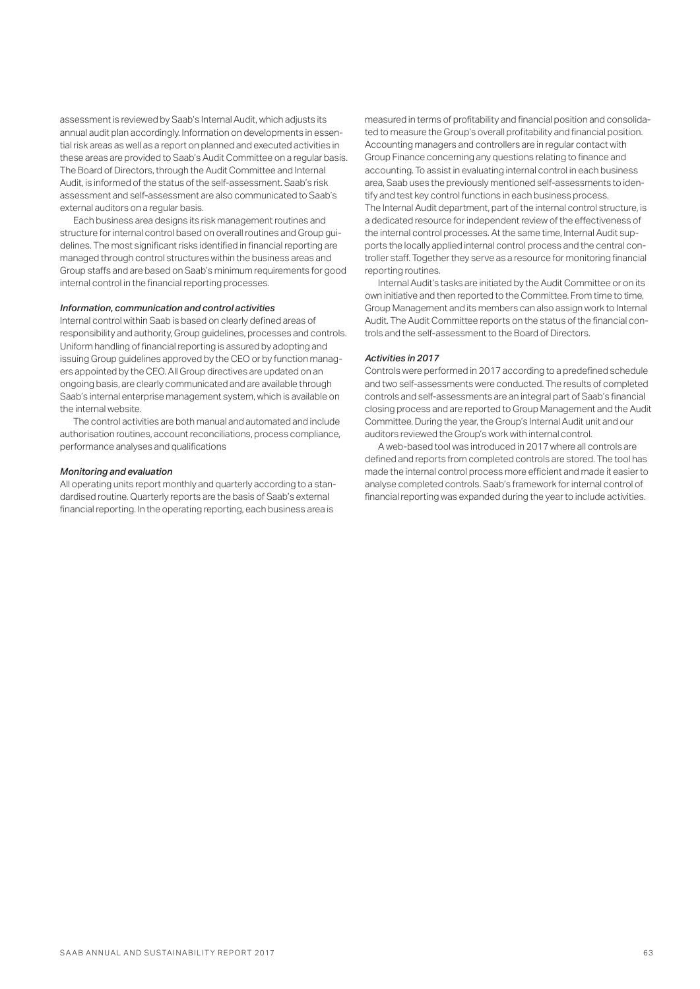assessment is reviewed by Saab's Internal Audit, which adjusts its annual audit plan accordingly. Information on developments in essential risk areas as well as a report on planned and executed activities in these areas are provided to Saab's Audit Committee on a regular basis. The Board of Directors, through the Audit Committee and Internal Audit, is informed of the status of the self-assessment. Saab's risk assessment and self-assessment are also communicated to Saab's external auditors on a regular basis.

Each business area designs its risk management routines and structure for internal control based on overall routines and Group guidelines. The most significant risks identified in financial reporting are managed through control structures within the business areas and Group staffs and are based on Saab's minimum requirements for good internal control in the financial reporting processes.

### *Information, communication and control activities*

Internal control within Saab is based on clearly defined areas of responsibility and authority, Group guidelines, processes and controls. Uniform handling of financial reporting is assured by adopting and issuing Group guidelines approved by the CEO or by function managers appointed by the CEO. All Group directives are updated on an ongoing basis, are clearly communicated and are available through Saab's internal enterprise management system, which is available on the internal website.

The control activities are both manual and automated and include authorisation routines, account reconciliations, process compliance, performance analyses and qualifications

### *Monitoring and evaluation*

All operating units report monthly and quarterly according to a standardised routine. Quarterly reports are the basis of Saab's external financial reporting. In the operating reporting, each business area is

measured in terms of profitability and financial position and consolidated to measure the Group's overall profitability and financial position. Accounting managers and controllers are in regular contact with Group Finance concerning any questions relating to finance and accounting. To assist in evaluating internal control in each business area, Saab uses the previously mentioned self-assessments to identify and test key control functions in each business process. The Internal Audit department, part of the internal control structure, is a dedicated resource for independent review of the effectiveness of the internal control processes. At the same time, Internal Audit supports the locally applied internal control process and the central controller staff. Together they serve as a resource for monitoring financial reporting routines.

Internal Audit's tasks are initiated by the Audit Committee or on its own initiative and then reported to the Committee. From time to time, Group Management and its members can also assign work to Internal Audit. The Audit Committee reports on the status of the financial controls and the self-assessment to the Board of Directors.

### *Activities in 2017*

Controls were performed in 2017 according to a predefined schedule and two self-assessments were conducted. The results of completed controls and self-assessments are an integral part of Saab's financial closing process and are reported to Group Management and the Audit Committee. During the year, the Group's Internal Audit unit and our auditors reviewed the Group's work with internal control.

A web-based tool was introduced in 2017 where all controls are defined and reports from completed controls are stored. The tool has made the internal control process more efficient and made it easier to analyse completed controls. Saab's framework for internal control of financial reporting was expanded during the year to include activities.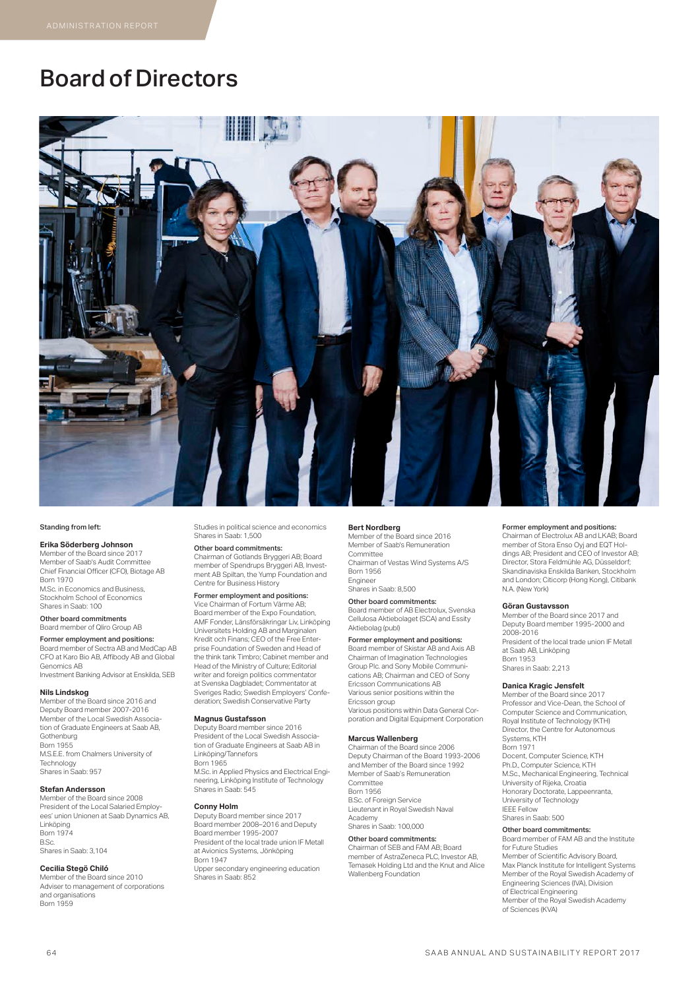# Board of Directors



#### Standing from left:

### **Erika Söderberg Johnson**

Member of the Board since 2017 Member of Saab's Audit Committee Chief Financial Officer (CFO), Biotage AB Born 1970 M.Sc. in Economics and Business, Stockholm School of Economics Shares in Saab: 100

Other board commitments Board member of Qliro Group AB

### Former employment and positions:

Board member of Sectra AB and MedCap AB CFO at Karo Bio AB, Affibody AB and Global Genomics AB Investment Banking Advisor at Enskilda, SEB

#### **Nils Lindskog**

Member of the Board since 2016 and Deputy Board member 2007-2016 Member of the Local Swedish Association of Graduate Engineers at Saab AB, Gothenburg Born 1955 M.S.E.E. from Chalmers University of Technology Shares in Saab: 957

#### **Stefan Andersson**

Member of the Board since 2008 President of the Local Salaried Employees' union Unionen at Saab Dynamics AB, Linköping Born 1974 B.Sc. Shares in Saab: 3,104

#### **Cecilia Stegö Chiló**

Member of the Board since 2010 Adviser to management of corporations and organisations Born 1959

Studies in political science and economics Shares in Saab: 1,500

Other board commitments: Chairman of Gotlands Bryggeri AB; Board member of Spendrups Bryggeri AB, Investment AB Spiltan, the Yump Foundation and Centre for Business History

### Former employment and positions:

Vice Chairman of Fortum Värme AB; Board member of the Expo Foundation, AMF Fonder, Länsförsäkringar Liv, Linköping Universitets Holding AB and Marginalen Kredit och Finans; CEO of the Free Enterprise Foundation of Sweden and Head of the think tank Timbro; Cabinet member and Head of the Ministry of Culture; Editorial writer and foreign politics commentator at Svenska Dagbladet; Commentator at Sveriges Radio; Swedish Employers' Confederation; Swedish Conservative Party

#### **Magnus Gustafsson**

Deputy Board member since 2016 President of the Local Swedish Association of Graduate Engineers at Saab AB in Linköping/Tannefors Born 1965

M.Sc. in Applied Physics and Electrical Engineering, Linköping Institute of Technology Shares in Saab: 545

#### **Conny Holm**

Deputy Board member since 2017 Board member 2008–2016 and Deputy Board member 1995-2007 President of the local trade union IF Metall at Avionics Systems, Jönköping Born 1947 Upper secondary engineering education Shares in Saab: 852

#### **Bert Nordberg**

Member of the Board since 2016 Member of Saab's Remuneration Committee Chairman of Vestas Wind Systems A/S Born 1956 Engineer

Shares in Saab: 8,500

Other board commitments: Board member of AB Electrolux, Svenska Cellulosa Aktiebolaget (SCA) and Essity Aktiebolag (publ)

#### Former employment and positions:

Board member of Skistar AB and Axis AB Chairman of Imagination Technologies Group Plc. and Sony Mobile Communications AB; Chairman and CEO of Sony Ericsson Communications AB Various senior positions within the Ericsson group Various positions within Data General Corporation and Digital Equipment Corporation

### **Marcus Wallenberg**

Chairman of the Board since 2006 Deputy Chairman of the Board 1993-2006 and Member of the Board since 1992 Member of Saab's Remuneration **Committee** Born 1956 B.Sc. of Foreign Service Lieutenant in Royal Swedish Naval Academy Shares in Saab: 100,000

### Other board commitments:

Chairman of SEB and FAM AB; Board member of AstraZeneca PLC, Investor AB, Temasek Holding Ltd and the Knut and Alice Wallenberg Foundation

### Former employment and positions:

Chairman of Electrolux AB and LKAB; Board member of Stora Enso Oyj and EQT Holdings AB; President and CEO of Investor AB; Director, Stora Feldmühle AG, Düsseldorf; Skandinaviska Enskilda Banken, Stockholm and London; Citicorp (Hong Kong), Citibank N.A. (New York)

#### **Göran Gustavsson**

Member of the Board since 2017 and Deputy Board member 1995-2000 and 2008-2016 President of the local trade union IF Metall at Saab AB, Linköping Born 1953 Shares in Saab: 2,213

#### **Danica Kragic Jensfelt**

Member of the Board since 2017 Professor and Vice-Dean, the School of Computer Science and Communication, Royal Institute of Technology (KTH) Director, the Centre for Autonomous Systems, KTH Born 1971 Docent, Computer Science, KTH Ph.D., Computer Science, KTH M.Sc., Mechanical Engineering, Technical University of Rijeka, Croatia Honorary Doctorate, Lappeenranta, University of Technology IEEE Fellow Shares in Saab: 500 Other board commitments:

Board member of FAM AB and the Institute for Future Studies Member of Scientific Advisory Board, Max Planck Institute for Intelligent Systems Member of the Royal Swedish Academy of Engineering Sciences (IVA), Division of Electrical Engineering Member of the Royal Swedish Academy of Sciences (KVA)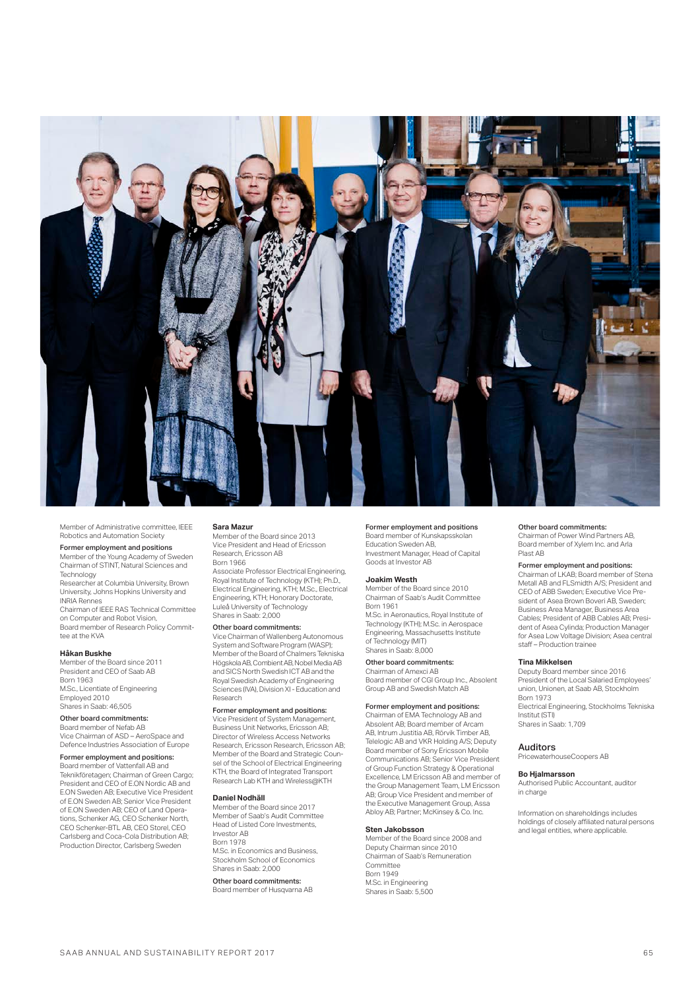

Member of Administrative committee, IEEE Robotics and Automation Society

### Former employment and positions

Member of the Young Academy of Sweden Chairman of STINT, Natural Sciences and **Technology** 

Researcher at Columbia University, Brown University, Johns Hopkins University and INRIA Rennes

Chairman of IEEE RAS Technical Committee on Computer and Robot Vision, Board member of Research Policy Commit-

tee at the KVA

## **Håkan Buskhe**

Member of the Board since 2011 President and CEO of Saab AB Born 1963 M.Sc., Licentiate of Engineering Employed 2010

## Shares in Saab: 46,505

Other board commitments: Board member of Nefab AB

Vice Chairman of ASD – AeroSpace and Defence Industries Association of Europe

#### Former employment and positions: Board member of Vattenfall AB and

Teknikföretagen; Chairman of Green Cargo; President and CEO of E.ON Nordic AB and E.ON Sweden AB; Executive Vice President of E.ON Sweden AB; Senior Vice President of E.ON Sweden AB; CEO of Land Operations, Schenker AG, CEO Schenker North, CEO Schenker-BTL AB, CEO Storel, CEO Carlsberg and Coca-Cola Distribution AB; Production Director, Carlsberg Sweden

#### **Sara Mazur**

Member of the Board since 2013 Vice President and Head of Ericsson Research, Ericsson AB<br>Born 1966

Born 1966 Associate Professor Electrical Engineering, Royal Institute of Technology (KTH); Ph.D., Electrical Engineering, KTH; M.Sc., Electrical Engineering, KTH; Honorary Doctorate, Luleå University of Technology Shares in Saab: 2,000

#### Other board commitments:

Vice Chairman of Wallenberg Autonomous System and Software Program (WASP); Member of the Board of Chalmers Tekniska Högskola AB, Combient AB, Nobel Media AB and SICS North Swedish ICT AB and the Royal Swedish Academy of Engineering Sciences (IVA), Division XI - Education and Research

### Former employment and positions:

Vice President of System Management, **Business Unit Networks, Ericsson AB;**<br>Director of Wireless Access Networks Director of Wireless Access Networks Research, Ericsson Research, Ericsson AB; Member of the Board and Strategic Counsel of the School of Electrical Engineering KTH, the Board of Integrated Transport Research Lab KTH and Wireless@KTH

#### **Daniel Nodhäll**

Member of the Board since 2017 Member of Saab's Audit Committee Head of Listed Core Investments, Investor AB Born 1978 M.Sc. in Economics and Business,

Stockholm School of Economics Shares in Saab: 2,000 Other board commitments:

Board member of Husqvarna AB

### Former employment and positions

Board member of Kunskapsskolan Education Sweden AB, Investment Manager, Head of Capital Goods at Investor AB

**Joakim Westh**<br>Member of the Board since 2010 Member of the Board since 2010 Chairman of Saab's Audit Committee Born 1961 M.Sc. in Aeronautics, Royal Institute of Technology (KTH); M.Sc. in Aerospace Engineering, Massachusetts Institute of Technology (MIT) Shares in Saab: 8,000

## Other board commitments:<br>Chairman of Amexci AB

Chairman of Amexci AB Board member of CGI Group Inc., Absolent Group AB and Swedish Match AB

#### Former employment and positions:

Chairman of EMA Technology AB and Absolent AB; Board member of Arcam AB, Intrum Justitia AB, Rörvik Timber AB, Telelogic AB and VKR Holding A/S; Deputy Board member of Sony Ericsson Mobile Communications AB; Senior Vice President of Group Function Strategy & Operational Excellence, LM Ericsson AB and member of the Group Management Team, LM Ericsson AB; Group Vice President and member of the Executive Management Group, Assa Abloy AB; Partner; McKinsey & Co. Inc.

#### **Sten Jakobsson**

Member of the Board since 2008 and Deputy Chairman since 2010 Chairman of Saab's Remuneration Committee Born 1949 M.Sc. in Engineering Shares in Saab: 5,500

### Other board commitments:

Chairman of Power Wind Partners AB, Board member of Xylem Inc. and Arla Plast AB

### Former employment and positions:

Chairman of LKAB; Board member of Stena Metall AB and FLSmidth A/S; President and CEO of ABB Sweden; Executive Vice President of Asea Brown Boveri AB, Sweden; Business Area Manager, Business Area Cables; President of ABB Cables AB; President of Asea Cylinda; Production Manager for Asea Low Voltage Division; Asea central staff – Production trainee

### **Tina Mikkelsen**

Deputy Board member since 2016 President of the Local Salaried Employees' union, Unionen, at Saab AB, Stockholm Born 1973 Electrical Engineering, Stockholms Tekniska Institut (STI) Shares in Saab: 1,709

## Auditors

PricewaterhouseCoopers AB

### **Bo Hjalmarsson**

Authorised Public Accountant, auditor in charge

Information on shareholdings includes holdings of closely affiliated natural persons and legal entities, where applicable.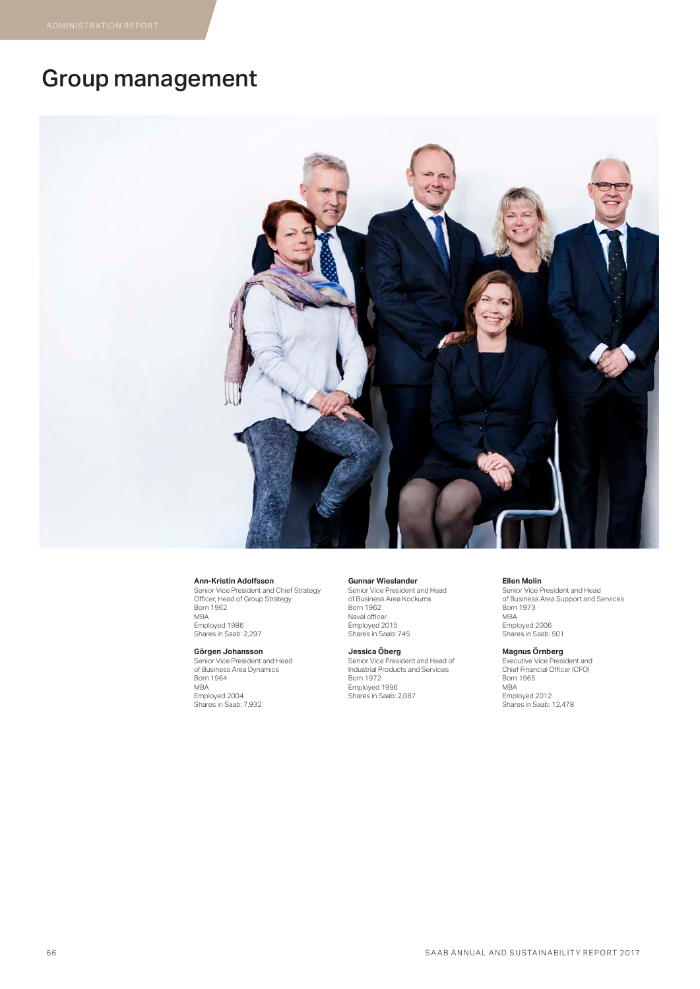# Group management



**Ann-Kristin Adolfsson** Senior Vice President and Chief Strategy Officer, Head of Group Strategy Born 1962 MBA Employed 1986 Shares in Saab: 2,297

**Görgen Johansson** Senior Vice President and Head of Business Area Dynamics Born 1964 MBA Employed 2004 Shares in Saab: 7,932

#### **Gunnar Wieslander**

Senior Vice President and Head of Business Area Kockums Born 1962 Naval officer Employed 2015 Shares in Saab: 745

**Jessica Öberg** Senior Vice President and Head of Industrial Products and Services Born 1972 Employed 1996 Shares in Saab: 2,087

#### **Ellen Molin**

Senior Vice President and Head of Business Area Support and Services Born 1973 MBA Employed 2006 Shares in Saab: 501

**Magnus Ornberg**<br>Executive Vice President and<br>Chief Financial Officer (CFO) Born 1965 MBA Employed 2012 Shares in Saab: 12,478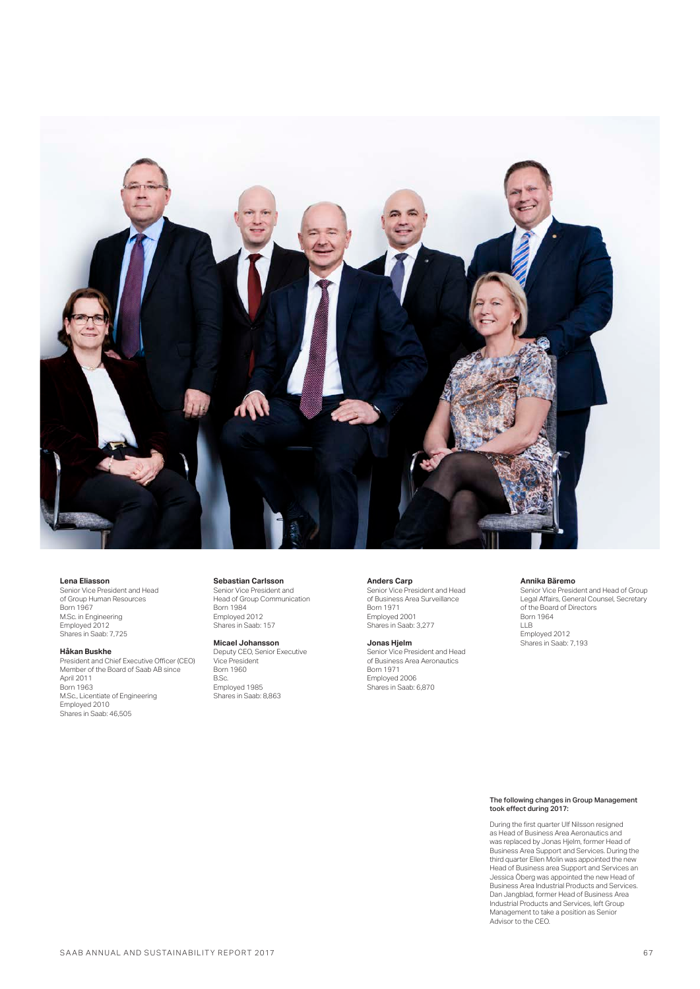![](_page_9_Picture_0.jpeg)

#### **Lena Eliasson**

Senior Vice President and Head of Group Human Resources Born 1967 M.Sc. in Engineering Employed 2012 Shares in Saab: 7,725

### **Håkan Buskhe**

President and Chief Executive Officer (CEO) Member of the Board of Saab AB since April 2011 Born 1963 M.Sc., Licentiate of Engineering Employed 2010 Shares in Saab: 46,505

**Sebastian Carlsson** Senior Vice President and

Head of Group Communication **Born 1984** Employed 2012 Shares in Saab: 157

#### **Micael Johansson**

Deputy CEO, Senior Executive Vice President Born 1960<br>B.Sc B.Sc. Employed 1985 Shares in Saab: 8,863

**Anders Carp** Senior Vice President and Head of Business Area Surveillance Born 1971 Employed 2001

Shares in Saab: 3,277

**Jonas Hjelm** Senior Vice President and Head of Business Area Aeronautics Born 1971 Employed 2006 Shares in Saab: 6,870

#### **Annika Bäremo**

Senior Vice President and Head of Group Legal Affairs, General Counsel, Secretary of the Board of Directors Born 1964 LLB Employed 2012 Shares in Saab: 7,193

The following changes in Group Management took effect during 2017:

During the first quarter Ulf Nilsson resigned as Head of Business Area Aeronautics and was replaced by Jonas Hjelm, former Head of Business Area Support and Services. During the third quarter Ellen Molin was appointed the new Head of Business area Support and Services an Jessica Öberg was appointed the new Head of Business Area Industrial Products and Services. Dan Jangblad, former Head of Business Area Industrial Products and Services, left Group Management to take a position as Senior Advisor to the CEO.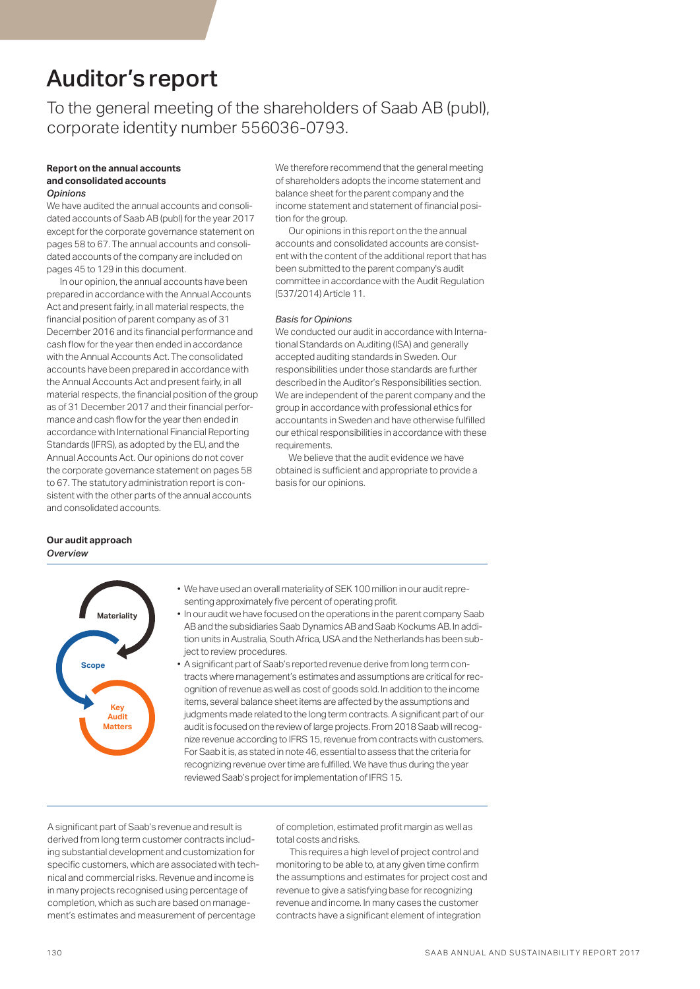# Auditor's report

To the general meeting of the shareholders of Saab AB (publ), corporate identity number 556036-0793.

### **Report on the annual accounts and consolidated accounts**  *Opinions*

We have audited the annual accounts and consolidated accounts of Saab AB (publ) for the year 2017 except for the corporate governance statement on pages 58 to 67. The annual accounts and consolidated accounts of the company are included on pages 45 to 129 in this document.

In our opinion, the annual accounts have been prepared in accordance with the Annual Accounts Act and present fairly, in all material respects, the financial position of parent company as of 31 December 2016 and its financial performance and cash flow for the year then ended in accordance with the Annual Accounts Act. The consolidated accounts have been prepared in accordance with the Annual Accounts Act and present fairly, in all material respects, the financial position of the group as of 31 December 2017 and their financial performance and cash flow for the year then ended in accordance with International Financial Reporting Standards (IFRS), as adopted by the EU, and the Annual Accounts Act. Our opinions do not cover the corporate governance statement on pages 58 to 67. The statutory administration report is consistent with the other parts of the annual accounts and consolidated accounts.

We therefore recommend that the general meeting of shareholders adopts the income statement and balance sheet for the parent company and the income statement and statement of financial position for the group.

Our opinions in this report on the the annual accounts and consolidated accounts are consistent with the content of the additional report that has been submitted to the parent company's audit committee in accordance with the Audit Regulation (537/2014) Article 11.

### *Basis for Opinions*

We conducted our audit in accordance with International Standards on Auditing (ISA) and generally accepted auditing standards in Sweden. Our responsibilities under those standards are further described in the Auditor's Responsibilities section. We are independent of the parent company and the group in accordance with professional ethics for accountants in Sweden and have otherwise fulfilled our ethical responsibilities in accordance with these requirements.

We believe that the audit evidence we have obtained is sufficient and appropriate to provide a basis for our opinions.

## **Our audit approach** *Overview*

![](_page_10_Figure_11.jpeg)

- We have used an overall materiality of SEK 100 million in our audit representing approximately five percent of operating profit.
- In our audit we have focused on the operations in the parent company Saab AB and the subsidiaries Saab Dynamics AB and Saab Kockums AB. In addition units in Australia, South Africa, USA and the Netherlands has been subject to review procedures.
- A significant part of Saab's reported revenue derive from long term contracts where management's estimates and assumptions are critical for recognition of revenue as well as cost of goods sold. In addition to the income items, several balance sheet items are affected by the assumptions and judgments made related to the long term contracts. A significant part of our audit is focused on the review of large projects. From 2018 Saab will recognize revenue according to IFRS 15, revenue from contracts with customers. For Saab it is, as stated in note 46, essential to assess that the criteria for recognizing revenue over time are fulfilled. We have thus during the year reviewed Saab's project for implementation of IFRS 15.

A significant part of Saab's revenue and result is derived from long term customer contracts including substantial development and customization for specific customers, which are associated with technical and commercial risks. Revenue and income is in many projects recognised using percentage of completion, which as such are based on management's estimates and measurement of percentage

of completion, estimated profit margin as well as total costs and risks.

This requires a high level of project control and monitoring to be able to, at any given time confirm the assumptions and estimates for project cost and revenue to give a satisfying base for recognizing revenue and income. In many cases the customer contracts have a significant element of integration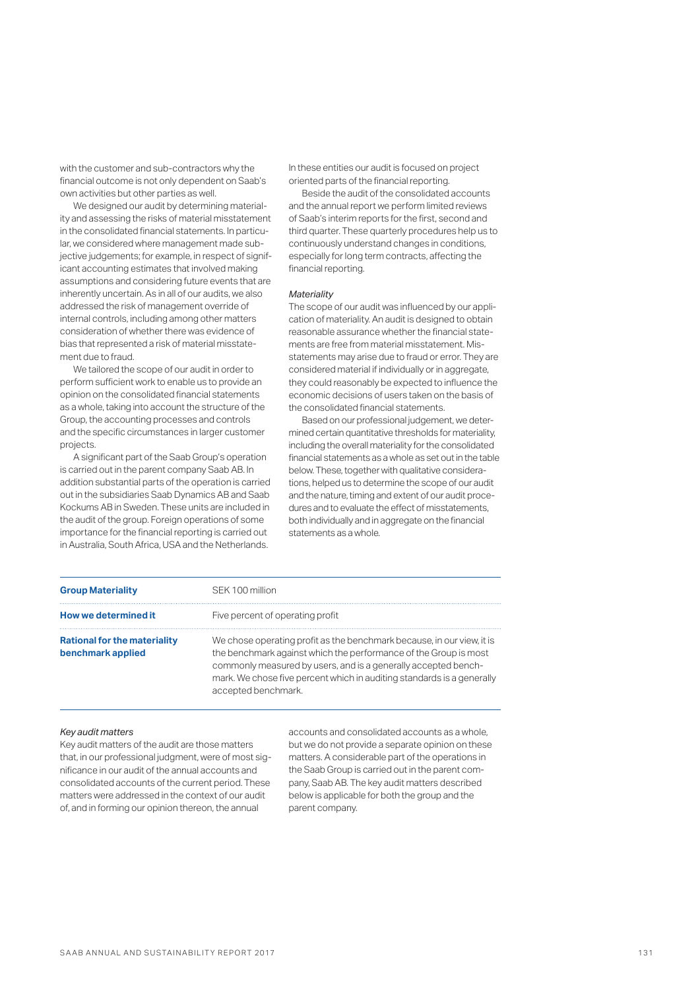with the customer and sub-contractors why the financial outcome is not only dependent on Saab's own activities but other parties as well.

We designed our audit by determining materiality and assessing the risks of material misstatement in the consolidated financial statements. In particular, we considered where management made subjective judgements; for example, in respect of significant accounting estimates that involved making assumptions and considering future events that are inherently uncertain. As in all of our audits, we also addressed the risk of management override of internal controls, including among other matters consideration of whether there was evidence of bias that represented a risk of material misstatement due to fraud.

We tailored the scope of our audit in order to perform sufficient work to enable us to provide an opinion on the consolidated financial statements as a whole, taking into account the structure of the Group, the accounting processes and controls and the specific circumstances in larger customer projects.

A significant part of the Saab Group's operation is carried out in the parent company Saab AB. In addition substantial parts of the operation is carried out in the subsidiaries Saab Dynamics AB and Saab Kockums AB in Sweden. These units are included in the audit of the group. Foreign operations of some importance for the financial reporting is carried out in Australia, South Africa, USA and the Netherlands.

In these entities our audit is focused on project oriented parts of the financial reporting.

Beside the audit of the consolidated accounts and the annual report we perform limited reviews of Saab's interim reports for the first, second and third quarter. These quarterly procedures help us to continuously understand changes in conditions, especially for long term contracts, affecting the financial reporting.

### *Materiality*

The scope of our audit was influenced by our application of materiality. An audit is designed to obtain reasonable assurance whether the financial statements are free from material misstatement. Misstatements may arise due to fraud or error. They are considered material if individually or in aggregate, they could reasonably be expected to influence the economic decisions of users taken on the basis of the consolidated financial statements.

Based on our professional judgement, we determined certain quantitative thresholds for materiality, including the overall materiality for the consolidated financial statements as a whole as set out in the table below. These, together with qualitative considerations, helped us to determine the scope of our audit and the nature, timing and extent of our audit procedures and to evaluate the effect of misstatements, both individually and in aggregate on the financial statements as a whole.

| <b>Group Materiality</b>                                 | SEK 100 million                                                                                                                                                                                                                                                                                               |
|----------------------------------------------------------|---------------------------------------------------------------------------------------------------------------------------------------------------------------------------------------------------------------------------------------------------------------------------------------------------------------|
| How we determined it                                     | Five percent of operating profit                                                                                                                                                                                                                                                                              |
| <b>Rational for the materiality</b><br>benchmark applied | We chose operating profit as the benchmark because, in our view, it is<br>the benchmark against which the performance of the Group is most<br>commonly measured by users, and is a generally accepted bench-<br>mark. We chose five percent which in auditing standards is a generally<br>accepted benchmark. |

#### *Key audit matters*

Key audit matters of the audit are those matters that, in our professional judgment, were of most significance in our audit of the annual accounts and consolidated accounts of the current period. These matters were addressed in the context of our audit of, and in forming our opinion thereon, the annual

accounts and consolidated accounts as a whole, but we do not provide a separate opinion on these matters. A considerable part of the operations in the Saab Group is carried out in the parent company, Saab AB. The key audit matters described below is applicable for both the group and the parent company.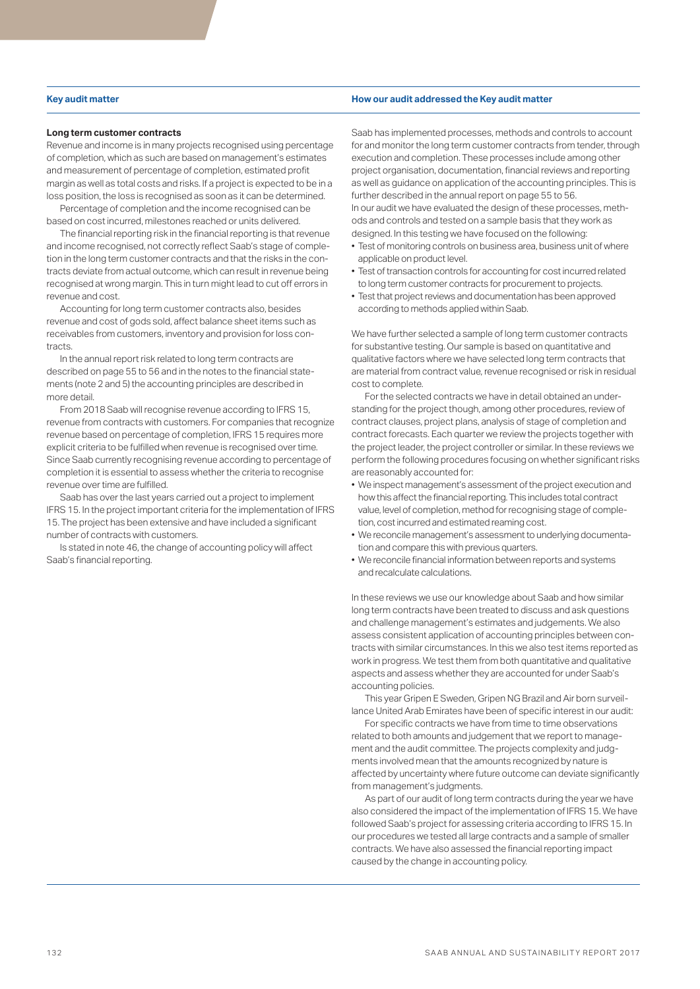### **Long term customer contracts**

Revenue and income is in many projects recognised using percentage of completion, which as such are based on management's estimates and measurement of percentage of completion, estimated profit margin as well as total costs and risks. If a project is expected to be in a loss position, the loss is recognised as soon as it can be determined.

Percentage of completion and the income recognised can be based on cost incurred, milestones reached or units delivered.

The financial reporting risk in the financial reporting is that revenue and income recognised, not correctly reflect Saab's stage of completion in the long term customer contracts and that the risks in the contracts deviate from actual outcome, which can result in revenue being recognised at wrong margin. This in turn might lead to cut off errors in revenue and cost.

Accounting for long term customer contracts also, besides revenue and cost of gods sold, affect balance sheet items such as receivables from customers, inventory and provision for loss contracts.

In the annual report risk related to long term contracts are described on page 55 to 56 and in the notes to the financial statements (note 2 and 5) the accounting principles are described in more detail.

From 2018 Saab will recognise revenue according to IFRS 15, revenue from contracts with customers. For companies that recognize revenue based on percentage of completion, IFRS 15 requires more explicit criteria to be fulfilled when revenue is recognised over time. Since Saab currently recognising revenue according to percentage of completion it is essential to assess whether the criteria to recognise revenue over time are fulfilled.

Saab has over the last years carried out a project to implement IFRS 15. In the project important criteria for the implementation of IFRS 15. The project has been extensive and have included a significant number of contracts with customers.

Is stated in note 46, the change of accounting policy will affect Saab's financial reporting.

### **Key audit matter How our audit addressed the Key audit matter**

Saab has implemented processes, methods and controls to account for and monitor the long term customer contracts from tender, through execution and completion. These processes include among other project organisation, documentation, financial reviews and reporting as well as guidance on application of the accounting principles. This is further described in the annual report on page 55 to 56. In our audit we have evaluated the design of these processes, methods and controls and tested on a sample basis that they work as designed. In this testing we have focused on the following:

- Test of monitoring controls on business area, business unit of where applicable on product level.
- Test of transaction controls for accounting for cost incurred related to long term customer contracts for procurement to projects.
- Test that project reviews and documentation has been approved according to methods applied within Saab.

We have further selected a sample of long term customer contracts for substantive testing. Our sample is based on quantitative and qualitative factors where we have selected long term contracts that are material from contract value, revenue recognised or risk in residual cost to complete.

For the selected contracts we have in detail obtained an understanding for the project though, among other procedures, review of contract clauses, project plans, analysis of stage of completion and contract forecasts. Each quarter we review the projects together with the project leader, the project controller or similar. In these reviews we perform the following procedures focusing on whether significant risks are reasonably accounted for:

- We inspect management's assessment of the project execution and how this affect the financial reporting. This includes total contract value, level of completion, method for recognising stage of completion, cost incurred and estimated reaming cost.
- We reconcile management's assessment to underlying documentation and compare this with previous quarters.
- We reconcile financial information between reports and systems and recalculate calculations.

In these reviews we use our knowledge about Saab and how similar long term contracts have been treated to discuss and ask questions and challenge management's estimates and judgements. We also assess consistent application of accounting principles between contracts with similar circumstances. In this we also test items reported as work in progress. We test them from both quantitative and qualitative aspects and assess whether they are accounted for under Saab's accounting policies.

This year Gripen E Sweden, Gripen NG Brazil and Air born surveillance United Arab Emirates have been of specific interest in our audit:

For specific contracts we have from time to time observations related to both amounts and judgement that we report to management and the audit committee. The projects complexity and judgments involved mean that the amounts recognized by nature is affected by uncertainty where future outcome can deviate significantly from management's judgments.

As part of our audit of long term contracts during the year we have also considered the impact of the implementation of IFRS 15. We have followed Saab's project for assessing criteria according to IFRS 15. In our procedures we tested all large contracts and a sample of smaller contracts. We have also assessed the financial reporting impact caused by the change in accounting policy.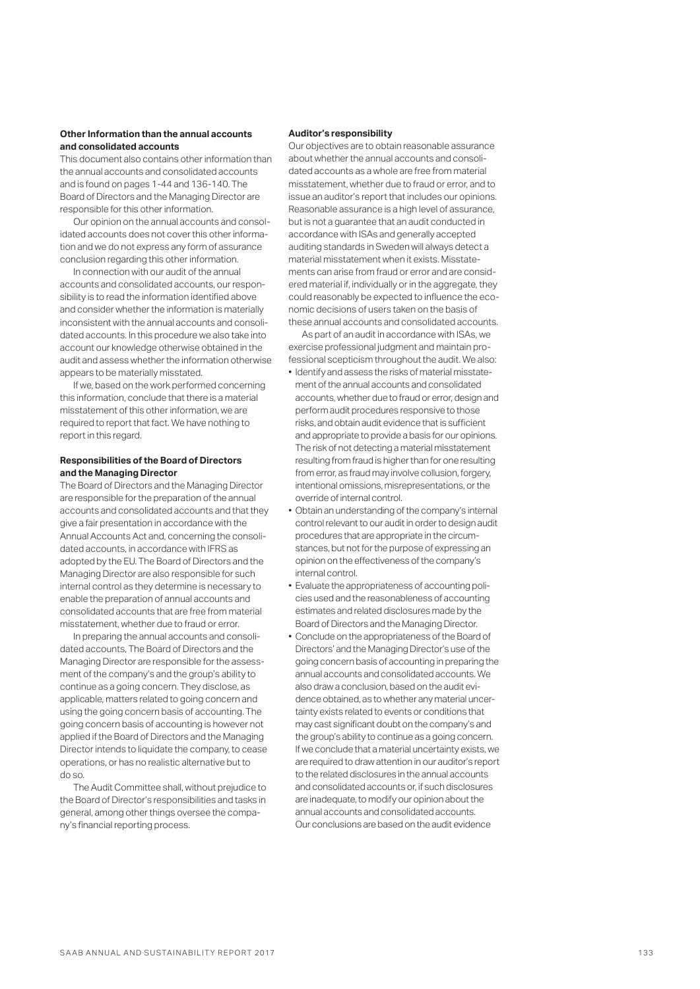### **Other Information than the annual accounts and consolidated accounts**

This document also contains other information than the annual accounts and consolidated accounts and is found on pages 1-44 and 136-140. The Board of Directors and the Managing Director are responsible for this other information.

Our opinion on the annual accounts and consolidated accounts does not cover this other information and we do not express any form of assurance conclusion regarding this other information.

In connection with our audit of the annual accounts and consolidated accounts, our responsibility is to read the information identified above and consider whether the information is materially inconsistent with the annual accounts and consolidated accounts. In this procedure we also take into account our knowledge otherwise obtained in the audit and assess whether the information otherwise appears to be materially misstated.

If we, based on the work performed concerning this information, conclude that there is a material misstatement of this other information, we are required to report that fact. We have nothing to report in this regard.

### **Responsibilities of the Board of Directors and the Managing Director**

The Board of Directors and the Managing Director are responsible for the preparation of the annual accounts and consolidated accounts and that they give a fair presentation in accordance with the Annual Accounts Act and, concerning the consolidated accounts, in accordance with IFRS as adopted by the EU. The Board of Directors and the Managing Director are also responsible for such internal control as they determine is necessary to enable the preparation of annual accounts and consolidated accounts that are free from material misstatement, whether due to fraud or error.

In preparing the annual accounts and consolidated accounts, The Board of Directors and the Managing Director are responsible for the assessment of the company's and the group's ability to continue as a going concern. They disclose, as applicable, matters related to going concern and using the going concern basis of accounting. The going concern basis of accounting is however not applied if the Board of Directors and the Managing Director intends to liquidate the company, to cease operations, or has no realistic alternative but to do so.

The Audit Committee shall, without prejudice to the Board of Director's responsibilities and tasks in general, among other things oversee the company's financial reporting process.

### **Auditor's responsibility**

Our objectives are to obtain reasonable assurance about whether the annual accounts and consolidated accounts as a whole are free from material misstatement, whether due to fraud or error, and to issue an auditor's report that includes our opinions. Reasonable assurance is a high level of assurance, but is not a guarantee that an audit conducted in accordance with ISAs and generally accepted auditing standards in Sweden will always detect a material misstatement when it exists. Misstatements can arise from fraud or error and are considered material if, individually or in the aggregate, they could reasonably be expected to influence the economic decisions of users taken on the basis of these annual accounts and consolidated accounts.

As part of an audit in accordance with ISAs, we exercise professional judgment and maintain professional scepticism throughout the audit. We also:

- Identify and assess the risks of material misstatement of the annual accounts and consolidated accounts, whether due to fraud or error, design and perform audit procedures responsive to those risks, and obtain audit evidence that is sufficient and appropriate to provide a basis for our opinions. The risk of not detecting a material misstatement resulting from fraud is higher than for one resulting from error, as fraud may involve collusion, forgery, intentional omissions, misrepresentations, or the override of internal control.
- Obtain an understanding of the company's internal control relevant to our audit in order to design audit procedures that are appropriate in the circumstances, but not for the purpose of expressing an opinion on the effectiveness of the company's internal control.
- Evaluate the appropriateness of accounting policies used and the reasonableness of accounting estimates and related disclosures made by the Board of Directors and the Managing Director.
- Conclude on the appropriateness of the Board of Directors' and the Managing Director's use of the going concern basis of accounting in preparing the annual accounts and consolidated accounts. We also draw a conclusion, based on the audit evidence obtained, as to whether any material uncertainty exists related to events or conditions that may cast significant doubt on the company's and the group's ability to continue as a going concern. If we conclude that a material uncertainty exists, we are required to draw attention in our auditor's report to the related disclosures in the annual accounts and consolidated accounts or, if such disclosures are inadequate, to modify our opinion about the annual accounts and consolidated accounts. Our conclusions are based on the audit evidence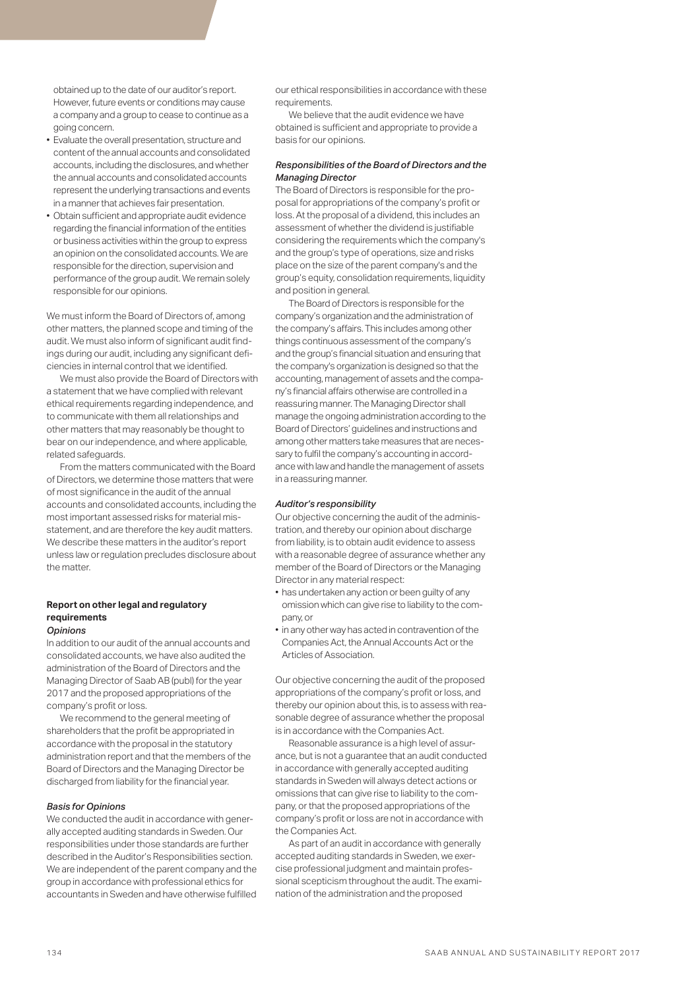obtained up to the date of our auditor's report. However, future events or conditions may cause a company and a group to cease to continue as a going concern.

- Evaluate the overall presentation, structure and content of the annual accounts and consolidated accounts, including the disclosures, and whether the annual accounts and consolidated accounts represent the underlying transactions and events in a manner that achieves fair presentation.
- Obtain sufficient and appropriate audit evidence regarding the financial information of the entities or business activities within the group to express an opinion on the consolidated accounts. We are responsible for the direction, supervision and performance of the group audit. We remain solely responsible for our opinions.

We must inform the Board of Directors of, among other matters, the planned scope and timing of the audit. We must also inform of significant audit findings during our audit, including any significant deficiencies in internal control that we identified.

We must also provide the Board of Directors with a statement that we have complied with relevant ethical requirements regarding independence, and to communicate with them all relationships and other matters that may reasonably be thought to bear on our independence, and where applicable, related safeguards.

From the matters communicated with the Board of Directors, we determine those matters that were of most significance in the audit of the annual accounts and consolidated accounts, including the most important assessed risks for material misstatement, and are therefore the key audit matters. We describe these matters in the auditor's report unless law or regulation precludes disclosure about the matter.

### **Report on other legal and regulatory requirements**  *Opinions*

In addition to our audit of the annual accounts and consolidated accounts, we have also audited the administration of the Board of Directors and the Managing Director of Saab AB (publ) for the year 2017 and the proposed appropriations of the company's profit or loss.

We recommend to the general meeting of shareholders that the profit be appropriated in accordance with the proposal in the statutory administration report and that the members of the Board of Directors and the Managing Director be discharged from liability for the financial year.

### *Basis for Opinions*

We conducted the audit in accordance with generally accepted auditing standards in Sweden. Our responsibilities under those standards are further described in the Auditor's Responsibilities section. We are independent of the parent company and the group in accordance with professional ethics for accountants in Sweden and have otherwise fulfilled our ethical responsibilities in accordance with these requirements.

We believe that the audit evidence we have obtained is sufficient and appropriate to provide a basis for our opinions.

### *Responsibilities of the Board of Directors and the Managing Director*

The Board of Directors is responsible for the proposal for appropriations of the company's profit or loss. At the proposal of a dividend, this includes an assessment of whether the dividend is justifiable considering the requirements which the company's and the group's type of operations, size and risks place on the size of the parent company's and the group's equity, consolidation requirements, liquidity and position in general.

The Board of Directors is responsible for the company's organization and the administration of the company's affairs. This includes among other things continuous assessment of the company's and the group's financial situation and ensuring that the company's organization is designed so that the accounting, management of assets and the company's financial affairs otherwise are controlled in a reassuring manner. The Managing Director shall manage the ongoing administration according to the Board of Directors' guidelines and instructions and among other matters take measures that are necessary to fulfil the company's accounting in accordance with law and handle the management of assets in a reassuring manner.

### *Auditor's responsibility*

Our objective concerning the audit of the administration, and thereby our opinion about discharge from liability, is to obtain audit evidence to assess with a reasonable degree of assurance whether any member of the Board of Directors or the Managing Director in any material respect:

- has undertaken any action or been guilty of any omission which can give rise to liability to the company, or
- in any other way has acted in contravention of the Companies Act, the Annual Accounts Act or the Articles of Association.

Our objective concerning the audit of the proposed appropriations of the company's profit or loss, and thereby our opinion about this, is to assess with reasonable degree of assurance whether the proposal is in accordance with the Companies Act.

Reasonable assurance is a high level of assurance, but is not a guarantee that an audit conducted in accordance with generally accepted auditing standards in Sweden will always detect actions or omissions that can give rise to liability to the company, or that the proposed appropriations of the company's profit or loss are not in accordance with the Companies Act.

As part of an audit in accordance with generally accepted auditing standards in Sweden, we exercise professional judgment and maintain professional scepticism throughout the audit. The examination of the administration and the proposed